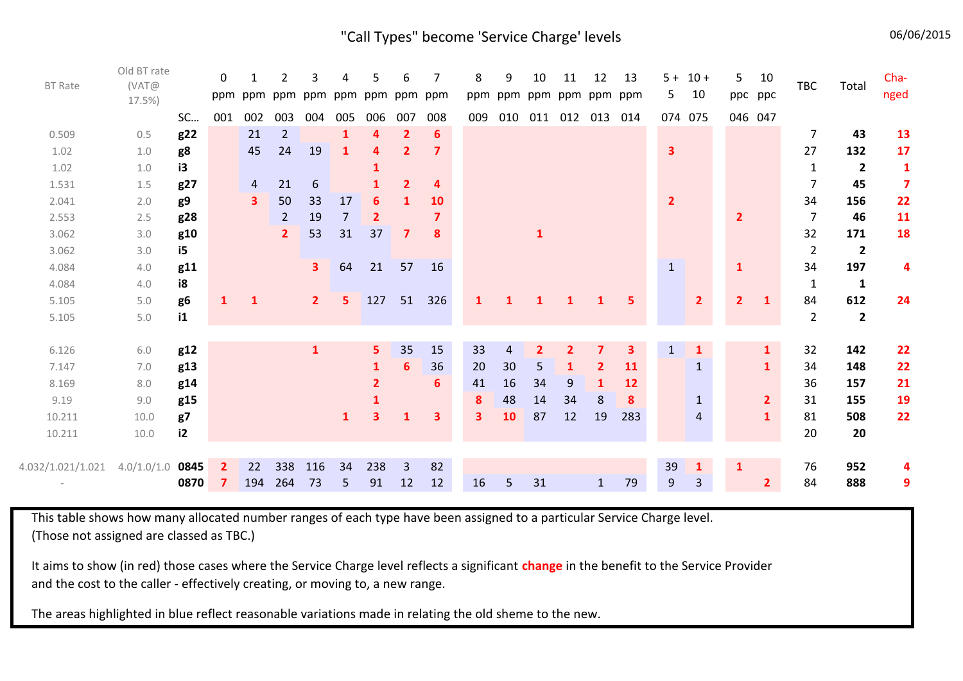"Call Types" become 'Service Charge' levels **1998** 06/06/2015

| <b>BT Rate</b>    | Old BT rate<br>(VAT@<br>17.5%) |                | $\Omega$<br>ppm |                         | 2              | 3<br>ppm ppm ppm ppm | 4            | 5            | 6<br>ppm ppm   | 7<br>ppm  | 8<br>ppm     | 9              | 10             | 11<br>ppm ppm ppm ppm ppm | 12                      | 13        | 5 <sub>1</sub>          | $5 + 10 +$<br>10 | 5.             | 10<br>ppc ppc  | TBC            | Total                   | Cha-<br>nged            |
|-------------------|--------------------------------|----------------|-----------------|-------------------------|----------------|----------------------|--------------|--------------|----------------|-----------|--------------|----------------|----------------|---------------------------|-------------------------|-----------|-------------------------|------------------|----------------|----------------|----------------|-------------------------|-------------------------|
|                   |                                | SC             | 001             | 002                     | 003            | 004                  | 005          | 006          | 007            | 008       | 009          | 010            | 011            |                           | 012 013                 | 014       |                         | 074 075          | 046 047        |                |                |                         |                         |
| 0.509             | 0.5                            | g22            |                 | 21                      | $\overline{2}$ |                      | $\mathbf{1}$ | Δ            | $\overline{2}$ | 6         |              |                |                |                           |                         |           |                         |                  |                |                | $\overline{7}$ | 43                      | 13                      |
| 1.02              | 1.0                            | g8             |                 | 45                      | 24             | 19                   | 1            | 4            | $\overline{2}$ |           |              |                |                |                           |                         |           | $\overline{\mathbf{3}}$ |                  |                |                | 27             | 132                     | 17                      |
| 1.02              | 1.0                            | i3             |                 |                         |                |                      |              |              |                |           |              |                |                |                           |                         |           |                         |                  |                |                | $\mathbf{1}$   | $\overline{2}$          | $\mathbf{1}$            |
| 1.531             | 1.5                            | g27            |                 | 4                       | 21             | 6                    |              |              | $\overline{2}$ | 4         |              |                |                |                           |                         |           |                         |                  |                |                | $\overline{7}$ | 45                      | $\overline{\mathbf{z}}$ |
| 2.041             | 2.0                            | g9             |                 | $\overline{\mathbf{3}}$ | 50             | 33                   | 17           | 6            | 1              | <b>10</b> |              |                |                |                           |                         |           | $\overline{2}$          |                  |                |                | 34             | 156                     | 22                      |
| 2.553             | 2.5                            | g28            |                 |                         | $\overline{2}$ | 19                   | 7            | $\mathbf{2}$ |                |           |              |                |                |                           |                         |           |                         |                  | $\mathbf{2}$   |                | $\overline{7}$ | 46                      | 11                      |
| 3.062             | 3.0                            | g10            |                 |                         | $\mathbf{2}$   | 53                   | 31           | 37           | $\mathbf{7}$   | 8         |              |                | 1              |                           |                         |           |                         |                  |                |                | 32             | 171                     | 18                      |
| 3.062             | 3.0                            | i5             |                 |                         |                |                      |              |              |                |           |              |                |                |                           |                         |           |                         |                  |                |                | $\overline{2}$ | $\overline{2}$          |                         |
| 4.084             | 4.0                            | g11            |                 |                         |                | 3 <sup>1</sup>       | 64           | 21           | 57             | 16        |              |                |                |                           |                         |           | $\mathbf{1}$            |                  | $\mathbf{1}$   |                | 34             | 197                     | 4                       |
| 4.084             | 4.0                            | i8             |                 |                         |                |                      |              |              |                |           |              |                |                |                           |                         |           |                         |                  |                |                | $\mathbf{1}$   | $\mathbf{1}$            |                         |
| 5.105             | 5.0                            | g <sub>6</sub> | 1               | $\mathbf{1}$            |                | 2 <sup>1</sup>       | 5            | 127          | 51             | 326       | 1            | 1              | 1              |                           |                         | 5         |                         | $\overline{2}$   | 2 <sup>1</sup> | $\mathbf{1}$   | 84             | 612                     | 24                      |
| 5.105             | 5.0                            | i1             |                 |                         |                |                      |              |              |                |           |              |                |                |                           |                         |           |                         |                  |                |                | $\overline{2}$ | $\overline{\mathbf{2}}$ |                         |
|                   |                                |                |                 |                         |                |                      |              |              |                |           |              |                |                |                           |                         |           |                         |                  |                |                |                |                         |                         |
| 6.126             | 6.0                            | g12            |                 |                         |                | $\mathbf{1}$         |              | 5            | 35             | 15        | 33           | $\overline{4}$ | $\overline{2}$ | $\mathbf{2}$              | $\overline{\mathbf{z}}$ | 3         | $\mathbf{1}$            | 1                |                | $\mathbf{1}$   | 32             | 142                     | 22                      |
| 7.147             | 7.0                            | g13            |                 |                         |                |                      |              | 1            | 6              | 36        | 20           | 30             | 5              | 1                         | $\overline{2}$          | <b>11</b> |                         |                  |                | $\mathbf{1}$   | 34             | 148                     | 22                      |
| 8.169             | 8.0                            | g14            |                 |                         |                |                      |              | $\mathbf{2}$ |                | 6         | 41           | 16             | 34             | 9                         | $\mathbf{1}$            | <b>12</b> |                         |                  |                |                | 36             | 157                     | 21                      |
| 9.19              | 9.0                            | g15            |                 |                         |                |                      |              |              |                |           | 8            | 48             | 14             | 34                        | 8                       | 8         |                         |                  |                | $\overline{2}$ | 31             | 155                     | 19                      |
| 10.211            | 10.0                           | g7             |                 |                         |                |                      | $\mathbf{1}$ | 3            | 1              | 3         | $\mathbf{3}$ | 10             | 87             | 12                        | 19                      | 283       |                         | 4                |                | $\mathbf{1}$   | 81             | 508                     | 22                      |
| 10.211            | 10.0                           | i2             |                 |                         |                |                      |              |              |                |           |              |                |                |                           |                         |           |                         |                  |                |                | 20             | 20                      |                         |
|                   |                                |                |                 |                         |                |                      |              |              |                |           |              |                |                |                           |                         |           |                         |                  |                |                |                |                         |                         |
| 4.032/1.021/1.021 | 4.0/1.0/1.0                    | 0845           | $\mathbf{2}$    | 22                      | 338            | 116                  | 34           | 238          | 3              | 82        |              |                |                |                           |                         |           | 39                      | $\mathbf{1}$     | $\mathbf{1}$   |                | 76             | 952                     | 4                       |
|                   |                                | 0870           | 7               | 194                     | 264            | 73                   | 5            | 91           | 12             | 12        | 16           | 5              | 31             |                           | $\mathbf{1}$            | 79        | 9                       | 3                |                | $\overline{2}$ | 84             | 888                     | 9                       |

This table shows how many allocated number ranges of each type have been assigned to a particular Service Charge level. (Those not assigned are classed as TBC.)

It aims to show (in red) those cases where the Service Charge level reflects a significant **change** in the benefit to the Service Provider and the cost to the caller - effectively creating, or moving to, a new range.

The areas highlighted in blue reflect reasonable variations made in relating the old sheme to the new.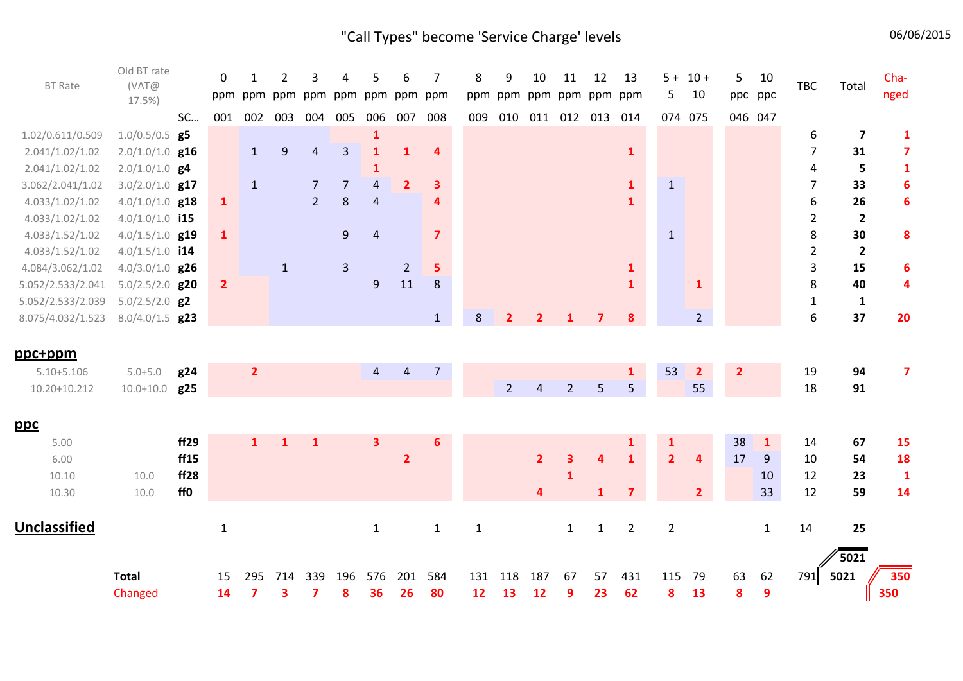# "Call Types" become 'Service Charge' levels 06/06/2015

| <b>BT Rate</b>    | Old BT rate<br>(VAT@<br>17.5%) |           | $\mathbf 0$<br>ppm | ppm            | 2                | 3              | Δ              | 5              | 6<br>ppm ppm ppm ppm ppm ppm | 7              | 8           | 9           | 10                      | 11             | 12<br>ppm ppm ppm ppm ppm ppm | 13             | 5 <sub>1</sub> | $5 + 10 +$<br>10        | 5                       | 10<br>ppc ppc | <b>TBC</b>       | Total                   | Cha-<br>nged            |
|-------------------|--------------------------------|-----------|--------------------|----------------|------------------|----------------|----------------|----------------|------------------------------|----------------|-------------|-------------|-------------------------|----------------|-------------------------------|----------------|----------------|-------------------------|-------------------------|---------------|------------------|-------------------------|-------------------------|
|                   |                                | <b>SC</b> | 001                | 002 003        |                  | 004            | 005            | 006            | 007                          | 008            | 009         |             |                         |                | 010 011 012 013               | 014            |                | 074 075                 |                         | 046 047       |                  |                         |                         |
| 1.02/0.611/0.509  | $1.0/0.5/0.5$ g5               |           |                    |                |                  |                |                | $\mathbf{1}$   |                              |                |             |             |                         |                |                               |                |                |                         |                         |               | 6                | $\overline{\mathbf{z}}$ | $\mathbf{1}$            |
| 2.041/1.02/1.02   | $2.0/1.0/1.0$ g16              |           |                    | $\mathbf{1}$   | $\boldsymbol{9}$ | 4              | 3              | $\mathbf{1}$   | $\mathbf{1}$                 | 4              |             |             |                         |                |                               | $\mathbf{1}$   |                |                         |                         |               | $\overline{7}$   | 31                      | $\overline{\mathbf{z}}$ |
| 2.041/1.02/1.02   | $2.0/1.0/1.0$ g <sup>4</sup>   |           |                    |                |                  |                |                | 1              |                              |                |             |             |                         |                |                               |                |                |                         |                         |               | 4                | 5                       | $\mathbf{1}$            |
| 3.062/2.041/1.02  | $3.0/2.0/1.0$ g17              |           |                    | $\mathbf{1}$   |                  | $\overline{7}$ | $\overline{7}$ | $\overline{a}$ | $\overline{2}$               | 3              |             |             |                         |                |                               | $\mathbf{1}$   | $\mathbf{1}$   |                         |                         |               | $\overline{7}$   | 33                      | $\boldsymbol{6}$        |
| 4.033/1.02/1.02   | $4.0/1.0/1.0$ g18              |           | $\mathbf{1}$       |                |                  | $2^{\circ}$    | 8              | $\overline{4}$ |                              | 4              |             |             |                         |                |                               | $\mathbf{1}$   |                |                         |                         |               | $\boldsymbol{6}$ | 26                      | $6\phantom{1}6$         |
| 4.033/1.02/1.02   | $4.0/1.0/1.0$ i15              |           |                    |                |                  |                |                |                |                              |                |             |             |                         |                |                               |                |                |                         |                         |               | $\mathbf 2$      | $\mathbf{2}$            |                         |
| 4.033/1.52/1.02   | $4.0/1.5/1.0$ g19              |           | $\mathbf{1}$       |                |                  |                | $\overline{9}$ | $\sqrt{4}$     |                              | $\overline{7}$ |             |             |                         |                |                               |                | $\mathbf{1}$   |                         |                         |               | 8                | 30                      | 8                       |
| 4.033/1.52/1.02   | $4.0/1.5/1.0$ i14              |           |                    |                |                  |                |                |                |                              |                |             |             |                         |                |                               |                |                |                         |                         |               | $\overline{2}$   | $\mathbf{2}$            |                         |
| 4.084/3.062/1.02  | $4.0/3.0/1.0$ g26              |           |                    |                | $\mathbf{1}$     |                | $\overline{3}$ |                | $\overline{2}$               | 5              |             |             |                         |                |                               | $\mathbf{1}$   |                |                         |                         |               | 3                | 15                      | 6                       |
| 5.052/2.533/2.041 | $5.0/2.5/2.0$ g20              |           | $\overline{2}$     |                |                  |                |                | 9              | 11                           | 8              |             |             |                         |                |                               | $\mathbf{1}$   |                | $\mathbf{1}$            |                         |               | 8                | 40                      | 4                       |
| 5.052/2.533/2.039 | $5.0/2.5/2.0$ g2               |           |                    |                |                  |                |                |                |                              |                |             |             |                         |                |                               |                |                |                         |                         |               | $\mathbf{1}$     | $\mathbf{1}$            |                         |
| 8.075/4.032/1.523 | $8.0/4.0/1.5$ g23              |           |                    |                |                  |                |                |                |                              | $\mathbf{1}$   | 8           | 2           | $\overline{2}$          |                | $\overline{ }$                | 8              |                | $\overline{2}$          |                         |               | 6                | 37                      | 20                      |
| ppc+ppm           |                                |           |                    |                |                  |                |                |                |                              |                |             |             |                         |                |                               |                |                |                         |                         |               |                  |                         |                         |
| $5.10 + 5.106$    | $5.0 + 5.0$                    | g24       |                    | $\overline{2}$ |                  |                |                | $\overline{4}$ | $\overline{4}$               | $\overline{7}$ |             |             |                         |                |                               | $\mathbf{1}$   | 53             | $\overline{2}$          | $\overline{\mathbf{2}}$ |               | 19               | 94                      | $\overline{7}$          |
| 10.20+10.212      | $10.0 + 10.0$                  | g25       |                    |                |                  |                |                |                |                              |                |             | $2^{\circ}$ | $\overline{4}$          | $\overline{2}$ | 5                             | 5              |                | 55                      |                         |               | 18               | 91                      |                         |
|                   |                                |           |                    |                |                  |                |                |                |                              |                |             |             |                         |                |                               |                |                |                         |                         |               |                  |                         |                         |
| <u>ppc</u>        |                                |           |                    |                |                  |                |                |                |                              |                |             |             |                         |                |                               |                |                |                         |                         |               |                  |                         |                         |
| 5.00              |                                | ff29      |                    | $\mathbf{1}$   | $\mathbf{1}$     | $\mathbf{1}$   |                | 3              |                              | 6              |             |             |                         |                |                               | 1              | $\mathbf{1}$   |                         | 38                      | $\mathbf{1}$  | 14               | 67                      | <b>15</b>               |
| 6.00              |                                | ff15      |                    |                |                  |                |                |                | $\overline{2}$               |                |             |             | $\overline{2}$          | 3              | $\overline{\mathbf{4}}$       | $\mathbf{1}$   | 2 <sup>1</sup> | $\overline{\mathbf{4}}$ | 17                      | 9             | 10               | 54                      | <b>18</b>               |
| 10.10             | 10.0                           | ff28      |                    |                |                  |                |                |                |                              |                |             |             |                         | $\mathbf{1}$   |                               |                |                |                         |                         | 10            | 12               | 23                      | $\mathbf{1}$            |
| 10.30             | 10.0                           | ff0       |                    |                |                  |                |                |                |                              |                |             |             | $\overline{\mathbf{4}}$ |                | $\mathbf{1}$                  | $\overline{7}$ |                | 2 <sup>1</sup>          |                         | 33            | 12               | 59                      | 14                      |
|                   |                                |           |                    |                |                  |                |                |                |                              |                |             |             |                         |                |                               |                |                |                         |                         |               |                  |                         |                         |
| Unclassified      |                                |           | $\mathbf 1$        |                |                  |                |                | $1\,$          |                              | $\mathbf{1}$   | $\mathbf 1$ |             |                         | $\mathbf{1}$   | $\mathbf{1}$                  | $\overline{2}$ | $\overline{2}$ |                         |                         | $\mathbf{1}$  | 14               | 25                      |                         |
|                   |                                |           |                    |                |                  |                |                |                |                              |                |             |             |                         |                |                               |                |                |                         |                         |               |                  | $\sqrt{5021}$           |                         |
|                   | <b>Total</b>                   |           | 15                 | 295            | 714              | 339            | 196            | 576            | 201                          | 584            | 131         | 118         | 187                     | 67             | 57                            | 431            | 115 79         |                         | 63                      | 62            | 791              | 5021                    | 350                     |
|                   | Changed                        |           | 14                 | 7              | 3                | 7              | 8              | 36             | 26                           | 80             | 12          | 13          | 12                      | 9              | 23                            | 62             | 8              | 13                      | 8                       | 9             |                  |                         | 350                     |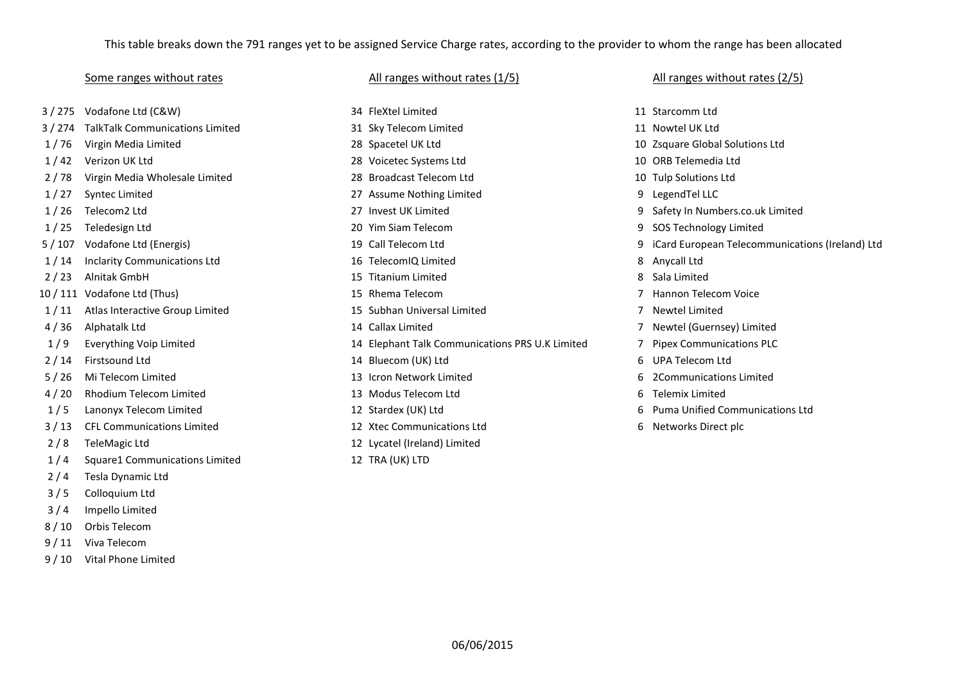## This table breaks down the 791 ranges yet to be assigned Service Charge rates, according to the provider to whom the range has been allocated

2/8 TeleMagic Ltd 12 Lycatel (Ireland) Limited 1 / 4 Square1 Communications Limited 12 TRA (UK) LTD 2 / 4 Tesla Dynamic Ltd 3 / 5 Colloquium Ltd 3 / 4 Impello Limited 8 / 10 Orbis Telecom 9 / 11 Viva Telecom

9 / 10 Vital Phone Limited

3 / 275 Vodafone Ltd (C&W) 34 FleXtel Limited 11 Starcomm Ltd 3 / 274 TalkTalk Communications Limited 31 Sky Telecom Limited 11 Nowtel UK Ltd 1 / 76 Virgin Media Limited 28 Spacetel UK Ltd 10 Zsquare Global Solutions Ltd 1 / 42 Verizon UK Ltd 28 Voicetec Systems Ltd 10 ORB Telemedia Ltd 2 / 78 Virgin Media Wholesale Limited 28 Broadcast Telecom Ltd 10 Tulp Solutions Ltd 1 / 27 Syntec Limited 27 Assume Nothing Limited 9 LegendTel LLC 1 / 26 Telecom2 Ltd 27 Invest UK Limited 9 Safety In Numbers.co.uk Limited 1 / 25 Teledesign Ltd 20 Yim Siam Telecom 9 SOS Technology Limited 1 / 14 Inclarity Communications Ltd 16 TelecomIQ Limited 8 Anycall Ltd 2 / 23 Alnitak GmbH 15 Titanium Limited 8 Sala Limited 10 / 111 Vodafone Ltd (Thus) 15 Rhema Telecom 7 Hannon Telecom Voice 1 / 11 Atlas Interactive Group Limited 15 Subhan Universal Limited 7 Newtel Limited 4 / 36 Alphatalk Ltd 14 Callax Limited 7 Newtel (Guernsey) Limited 1 / 9 Everything Voip Limited 14 Elephant Talk Communications PRS U.K Limited 7 Pipex Communications PLC 2 / 14 Firstsound Ltd 14 Bluecom (UK) Ltd 6 UPA Telecom Ltd 5 / 26 Mi Telecom Limited 13 Icron Network Limited 6 2Communications Limited 4 / 20 Rhodium Telecom Limited 13 Modus Telecom Ltd 6 Telemix Limited 1 / 5 Lanonyx Telecom Limited 12 Stardex (UK) Ltd 6 Puma Unified Communications Ltd 3 / 13 CFL Communications Limited 12 Xtec Communications Ltd 6 Networks Direct plc

### Some ranges without rates and the Call ranges without rates (1/5) and the Call ranges without rates (2/5) Some ranges without rates (2/5)

- 
- 
- 
- 
- 
- 
- 
- 
- 5 / 107 Vodafone Ltd (Energis) 19 Call Telecom Ltd 9 iCard European Telecommunications (Ireland) Ltd
	-
	-
	-
	-
	-
	-
	-
	-
	-
	-
	-